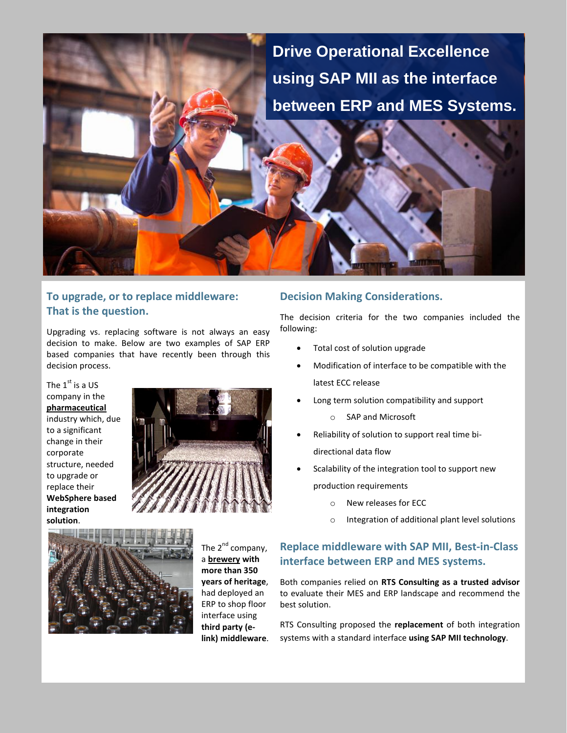# **Drive Operational Excellence using SAP MII as the interface between ERP and MES Systems.**

## **To upgrade, or to replace middleware: That is the question.**

Upgrading vs. replacing software is not always an easy decision to make. Below are two examples of SAP ERP based companies that have recently been through this decision process.

The  $1<sup>st</sup>$  is a US company in the **pharmaceutical** industry which, due to a significant change in their corporate structure, needed to upgrade or replace their **WebSphere based integration solution**.





The 2<sup>nd</sup> company, a **brewery with more than 350 years of heritage**, had deployed an ERP to shop floor interface using **third party (elink) middleware**.

### **Decision Making Considerations.**

The decision criteria for the two companies included the following:

- Total cost of solution upgrade
- Modification of interface to be compatible with the latest ECC release
- Long term solution compatibility and support
	- o SAP and Microsoft
- Reliability of solution to support real time bidirectional data flow
- Scalability of the integration tool to support new production requirements
	- o New releases for ECC
	- o Integration of additional plant level solutions

## **Replace middleware with SAP MII, Best-in-Class interface between ERP and MES systems.**

Both companies relied on **RTS Consulting as a trusted advisor** to evaluate their MES and ERP landscape and recommend the best solution.

RTS Consulting proposed the **replacement** of both integration systems with a standard interface **using SAP MII technology**.